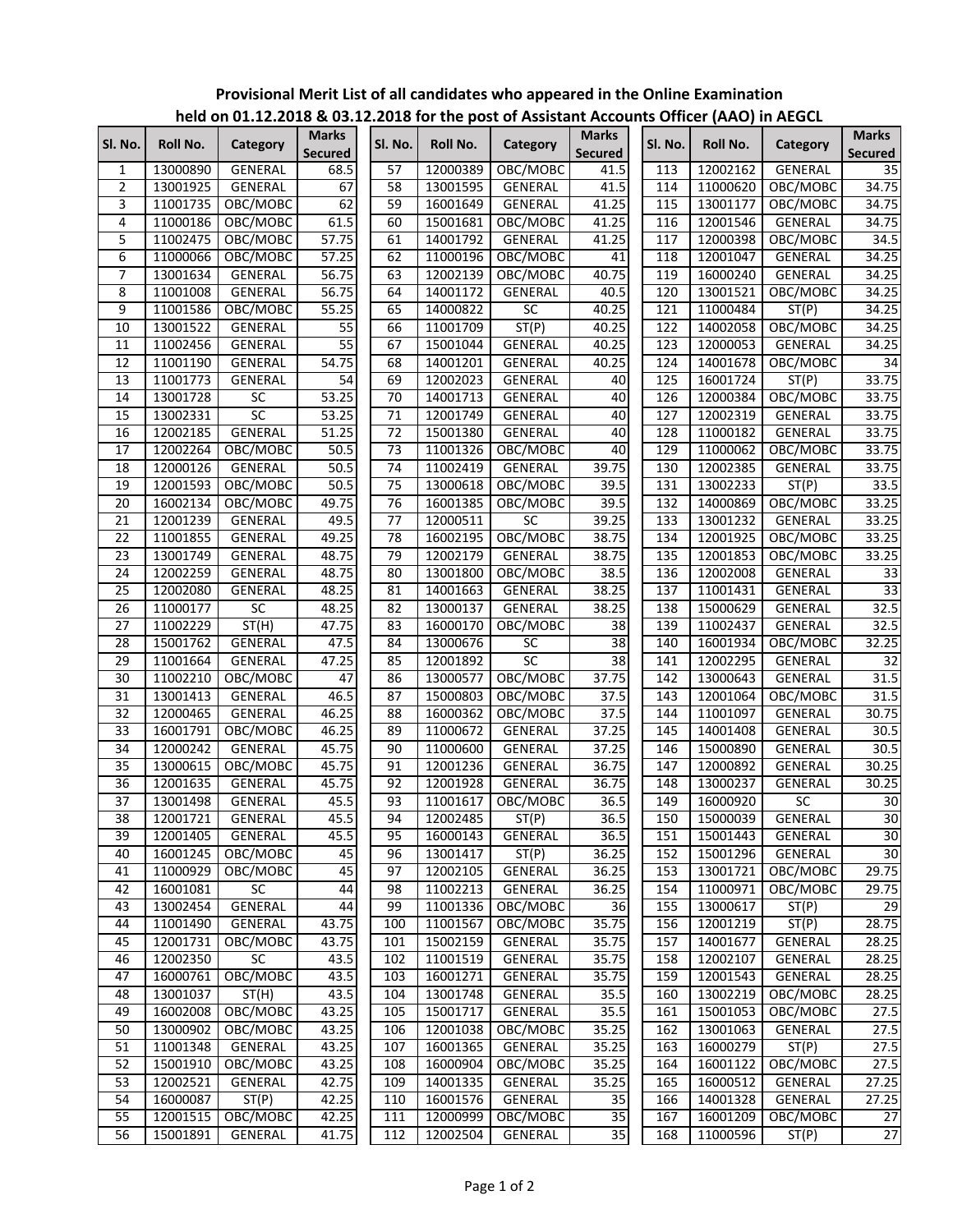| SI. No.         | Roll No. | Category       | <b>Marks</b><br><b>Secured</b> | Sl. No.         | Roll No. | Category        | <b>Marks</b><br><b>Secured</b> | Sl. No. | Roll No. | Category       | <b>Marks</b><br><b>Secured</b> |
|-----------------|----------|----------------|--------------------------------|-----------------|----------|-----------------|--------------------------------|---------|----------|----------------|--------------------------------|
| 1               | 13000890 | <b>GENERAL</b> | 68.5                           | 57              | 12000389 | OBC/MOBC        | 41.5                           | 113     | 12002162 | <b>GENERAL</b> | 35                             |
| $\overline{2}$  | 13001925 | GENERAL        | 67                             | 58              | 13001595 | GENERAL         | 41.5                           | 114     | 11000620 | OBC/MOBC       | 34.75                          |
| 3               | 11001735 | OBC/MOBC       | 62                             | 59              | 16001649 | <b>GENERAL</b>  | 41.25                          | 115     | 13001177 | OBC/MOBC       | 34.75                          |
| 4               | 11000186 | OBC/MOBC       | 61.5                           | 60              | 15001681 | OBC/MOBC        | 41.25                          | 116     | 12001546 | GENERAL        | 34.75                          |
| 5               | 11002475 | OBC/MOBC       | 57.75                          | 61              | 14001792 | GENERAL         | 41.25                          | 117     | 12000398 | OBC/MOBC       | 34.5                           |
| 6               | 11000066 | OBC/MOBC       | 57.25                          | 62              | 11000196 | OBC/MOBC        | 41                             | 118     | 12001047 | GENERAL        | 34.25                          |
| 7               | 13001634 | GENERAL        | 56.75                          | 63              | 12002139 | OBC/MOBC        | 40.75                          | 119     | 16000240 | GENERAL        | 34.25                          |
| 8               | 11001008 | GENERAL        | 56.75                          | 64              | 14001172 | GENERAL         | 40.5                           | 120     | 13001521 | OBC/MOBC       | 34.25                          |
| 9               | 11001586 | OBC/MOBC       | 55.25                          | 65              | 14000822 | SC              | 40.25                          | 121     | 11000484 | ST(P)          | 34.25                          |
| 10              | 13001522 | GENERAL        | 55                             | 66              | 11001709 | ST(P)           | 40.25                          | 122     | 14002058 | OBC/MOBC       | 34.25                          |
| 11              | 11002456 | GENERAL        | $\overline{55}$                | 67              | 15001044 | GENERAL         | 40.25                          | 123     | 12000053 | GENERAL        | 34.25                          |
| 12              | 11001190 | GENERAL        | 54.75                          | 68              | 14001201 | GENERAL         | 40.25                          | 124     | 14001678 | OBC/MOBC       | 34                             |
| 13              | 11001773 | GENERAL        | 54                             | 69              | 12002023 | <b>GENERAL</b>  | 40                             | 125     | 16001724 | ST(P)          | 33.75                          |
| 14              | 13001728 | SC             | 53.25                          | 70              | 14001713 | GENERAL         | 40                             | 126     | 12000384 | OBC/MOBC       | 33.75                          |
| 15              | 13002331 | SC             | 53.25                          | 71              | 12001749 | GENERAL         | 40                             | 127     | 12002319 | GENERAL        | 33.75                          |
| 16              | 12002185 | GENERAL        | 51.25                          | 72              | 15001380 | GENERAL         | 40                             | 128     | 11000182 | <b>GENERAL</b> | 33.75                          |
| 17              | 12002264 | OBC/MOBC       | 50.5                           | 73              | 11001326 | OBC/MOBC        | 40                             | 129     | 11000062 | OBC/MOBC       | 33.75                          |
| $\overline{18}$ | 12000126 | GENERAL        | 50.5                           | 74              | 11002419 | GENERAL         | 39.75                          | 130     | 12002385 | GENERAL        | 33.75                          |
| 19              | 12001593 | OBC/MOBC       | 50.5                           | 75              | 13000618 | OBC/MOBC        | 39.5                           | 131     | 13002233 | ST(P)          | 33.5                           |
| 20              | 16002134 | OBC/MOBC       | 49.75                          | 76              | 16001385 | OBC/MOBC        | 39.5                           | 132     | 14000869 | OBC/MOBC       | 33.25                          |
| 21              | 12001239 | GENERAL        | 49.5                           | $\overline{77}$ | 12000511 | $\overline{SC}$ | 39.25                          | 133     | 13001232 | GENERAL        | 33.25                          |
| 22              | 11001855 | GENERAL        | 49.25                          | 78              | 16002195 | OBC/MOBC        | 38.75                          | 134     | 12001925 | OBC/MOBC       | 33.25                          |
| 23              | 13001749 | GENERAL        | 48.75                          | 79              | 12002179 | <b>GENERAL</b>  | 38.75                          | 135     | 12001853 | OBC/MOBC       | 33.25                          |
| 24              | 12002259 | GENERAL        | 48.75                          | 80              | 13001800 | OBC/MOBC        | 38.5                           | 136     | 12002008 | GENERAL        | $\overline{33}$                |
| 25              | 12002080 | GENERAL        | 48.25                          | 81              | 14001663 | GENERAL         | 38.25                          | 137     | 11001431 | <b>GENERAL</b> | $\overline{33}$                |
| 26              | 11000177 | SC             | 48.25                          | 82              | 13000137 | <b>GENERAL</b>  | 38.25                          | 138     | 15000629 | GENERAL        | 32.5                           |
| 27              | 11002229 | ST(H)          | 47.75                          | 83              | 16000170 | OBC/MOBC        | 38                             | 139     | 11002437 | GENERAL        | 32.5                           |
| 28              | 15001762 | GENERAL        | 47.5                           | 84              | 13000676 | SC              | 38                             | 140     | 16001934 | OBC/MOBC       | 32.25                          |
| 29              | 11001664 | GENERAL        | 47.25                          | 85              | 12001892 | SC              | $\overline{38}$                | 141     | 12002295 | GENERAL        | $\overline{32}$                |
| 30              | 11002210 | OBC/MOBC       | 47                             | 86              | 13000577 | OBC/MOBC        | 37.75                          | 142     | 13000643 | GENERAL        | 31.5                           |
| 31              | 13001413 | GENERAL        | 46.5                           | 87              | 15000803 | OBC/MOBC        | 37.5                           | 143     | 12001064 | OBC/MOBC       | 31.5                           |
| 32              | 12000465 | GENERAL        | 46.25                          | 88              | 16000362 | OBC/MOBC        | 37.5                           | 144     | 11001097 | GENERAL        | 30.75                          |
| 33              | 16001791 | OBC/MOBC       | 46.25                          | 89              | 11000672 | <b>GENERAL</b>  | 37.25                          | 145     | 14001408 | <b>GENERAL</b> | 30.5                           |
| 34              | 12000242 | GENERAL        | 45.75                          | 90              | 11000600 | <b>GENERAL</b>  | 37.25                          | 146     | 15000890 | GENERAL        | 30.5                           |
| 35              | 13000615 | OBC/MOBC       | 45.75                          | 91              | 12001236 | GENERAL         | 36.75                          | 147     | 12000892 | GENERAL        | 30.25                          |
| 36              | 12001635 | GENERAL        | 45.75                          | 92              | 12001928 | GENERAL         | 36.75                          | 148     | 13000237 | GENERAL        | 30.25                          |
| 37              | 13001498 | <b>GENERAL</b> | 45.5                           | 93              | 11001617 | OBC/MOBC        | 36.5                           | 149     | 16000920 | SC             | 30                             |
| $\overline{38}$ | 12001721 | GENERAL        | 45.5                           | 94              | 12002485 | ST(P)           | 36.5                           | 150     | 15000039 | <b>GENERAL</b> | 30                             |
| 39              | 12001405 | GENERAL        | 45.5                           | 95              | 16000143 | GENERAL         | 36.5                           | 151     | 15001443 | GENERAL        | 30                             |
| 40              | 16001245 | OBC/MOBC       | 45                             | 96              | 13001417 | ST(P)           | 36.25                          | 152     | 15001296 | GENERAL        | 30                             |
| 41              | 11000929 | OBC/MOBC       | 45                             | 97              | 12002105 | GENERAL         | 36.25                          | 153     | 13001721 | OBC/MOBC       | 29.75                          |
| 42              | 16001081 | <b>SC</b>      | 44                             | 98              | 11002213 | GENERAL         | 36.25                          | 154     | 11000971 | OBC/MOBC       | 29.75                          |
| 43              | 13002454 | <b>GENERAL</b> | 44                             | 99              | 11001336 | OBC/MOBC        | 36                             | 155     | 13000617 | ST(P)          | 29                             |
| 44              | 11001490 | GENERAL        | 43.75                          | 100             | 11001567 | OBC/MOBC        | 35.75                          | 156     | 12001219 | ST(P)          | 28.75                          |
| 45              | 12001731 | OBC/MOBC       | 43.75                          | 101             | 15002159 | GENERAL         | 35.75                          | 157     | 14001677 | <b>GENERAL</b> | 28.25                          |
| 46              | 12002350 | SC             | 43.5                           | 102             | 11001519 | <b>GENERAL</b>  | 35.75                          | 158     | 12002107 | GENERAL        | 28.25                          |
| 47              | 16000761 | OBC/MOBC       | 43.5                           | 103             | 16001271 | GENERAL         | 35.75                          | 159     | 12001543 | GENERAL        | 28.25                          |
| 48              | 13001037 | ST(H)          | 43.5                           | 104             | 13001748 | GENERAL         | 35.5                           | 160     | 13002219 | OBC/MOBC       | 28.25                          |
| 49              | 16002008 | OBC/MOBC       | 43.25                          | 105             | 15001717 | GENERAL         | 35.5                           | 161     | 15001053 | OBC/MOBC       | 27.5                           |
| 50              | 13000902 | OBC/MOBC       | 43.25                          | 106             | 12001038 | OBC/MOBC        | 35.25                          | 162     | 13001063 | GENERAL        | 27.5                           |
| 51              | 11001348 | GENERAL        | 43.25                          | 107             | 16001365 | GENERAL         | 35.25                          | 163     | 16000279 | ST(P)          | 27.5                           |
| 52              | 15001910 | OBC/MOBC       | 43.25                          | 108             | 16000904 | OBC/MOBC        | 35.25                          | 164     | 16001122 | OBC/MOBC       | 27.5                           |
| 53              | 12002521 | GENERAL        | 42.75                          | 109             | 14001335 | GENERAL         | 35.25                          | 165     | 16000512 | GENERAL        | 27.25                          |
| 54              | 16000087 | ST(P)          | 42.25                          | 110             | 16001576 | GENERAL         | 35                             | 166     | 14001328 | GENERAL        | 27.25                          |
| 55              | 12001515 | OBC/MOBC       | 42.25                          | 111             | 12000999 | OBC/MOBC        | 35                             | 167     | 16001209 | OBC/MOBC       | 27                             |
| 56              | 15001891 | GENERAL        | 41.75                          | 112             | 12002504 | GENERAL         | $\overline{35}$                | 168     | 11000596 | ST(P)          | $\overline{27}$                |
|                 |          |                |                                |                 |          |                 |                                |         |          |                |                                |

## **Provisional Merit List of all candidates who appeared in the Online Examination held on 01.12.2018 & 03.12.2018 for the post of Assistant Accounts Officer (AAO) in AEGCL**